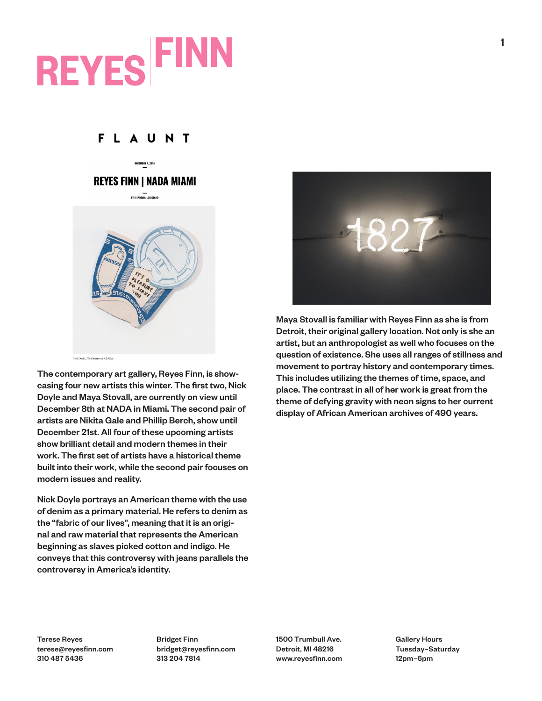## **REYES FINN**

## **FLAUNT**

## **REYES FINN I NADA MIAMI**



Nick Doyle, The Pleasure is All Mine

The contemporary art gallery, Reyes Finn, is showcasing four new artists this winter. The first two, Nick Doyle and Maya Stovall, are currently on view until December 8th at NADA in Miami. The second pair of artists are Nikita Gale and Phillip Berch, show until December 21st. All four of these upcoming artists show brilliant detail and modern themes in their work. The first set of artists have a historical theme built into their work, while the second pair focuses on modern issues and reality.

Nick Doyle portrays an American theme with the use of denim as a primary material. He refers to denim as the "fabric of our lives", meaning that it is an original and raw material that represents the American beginning as slaves picked cotton and indigo. He conveys that this controversy with jeans parallels the controversy in America's identity.



Maya Stovall is familiar with Reyes Finn as she is from Detroit, their original gallery location. Not only is she an artist, but an anthropologist as well who focuses on the question of existence. She uses all ranges of stillness and movement to portray history and contemporary times. This includes utilizing the themes of time, space, and place. The contrast in all of her work is great from the theme of defying gravity with neon signs to her current display of African American archives of 490 years.

Terese Reyes terese@reyesfinn.com 310 487 5436

Bridget Finn bridget@reyesfinn.com 313 204 7814

1500 Trumbull Ave. Detroit, MI 48216 www.reyesfinn.com Gallery Hours Tuesday–Saturday 12pm–6pm